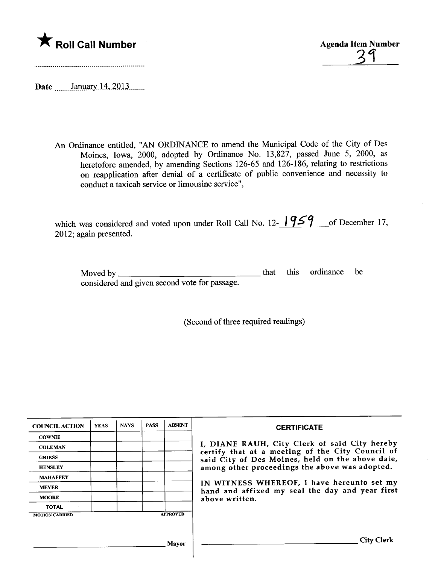

<u>'3</u>

Date \_\_\_\_\_\_January 14, 2013 \_\_\_\_\_

An Ordinance entitled, "AN ORDINANCE to amend the Municipal Code of the City of Des Moines, Iowa, 2000, adopted by Ordinance No. 13,827, passed June 5, 2000, as heretofore amended, by amending Sections 126-65 and 126-186, relating to restrictions on reapplication after denial of a certificate of public convenience and necessity to conduct a taxicab service or limousine service",

which was considered and voted upon under Roll Call No. 12- $\frac{1959}{100}$  of December 17, 2012; again presented.

| Moved by $\qquad$                             |  | that this ordinance be |  |
|-----------------------------------------------|--|------------------------|--|
| considered and given second vote for passage. |  |                        |  |

(Second of three required readings)

| <b>COUNCIL ACTION</b> | <b>YEAS</b> | <b>NAYS</b> | <b>PASS</b> | <b>ABSENT</b>   | <b>CERTIFICATE</b>                                                                                |
|-----------------------|-------------|-------------|-------------|-----------------|---------------------------------------------------------------------------------------------------|
| <b>COWNIE</b>         |             |             |             |                 |                                                                                                   |
| <b>COLEMAN</b>        |             |             |             |                 | I, DIANE RAUH, City Clerk of said City hereby<br>certify that at a meeting of the City Council of |
| <b>GRIESS</b>         |             |             |             |                 | said City of Des Moines, held on the above date,                                                  |
| <b>HENSLEY</b>        |             |             |             |                 | among other proceedings the above was adopted.                                                    |
| <b>MAHAFFEY</b>       |             |             |             |                 |                                                                                                   |
| <b>MEYER</b>          |             |             |             |                 | IN WITNESS WHEREOF, I have hereunto set my<br>hand and affixed my seal the day and year first     |
| <b>MOORE</b>          |             |             |             |                 | above written.                                                                                    |
| <b>TOTAL</b>          |             |             |             |                 |                                                                                                   |
| <b>MOTION CARRIED</b> |             |             |             | <b>APPROVED</b> |                                                                                                   |
|                       |             |             |             |                 |                                                                                                   |
|                       |             |             |             | Mavor           | City Clerk                                                                                        |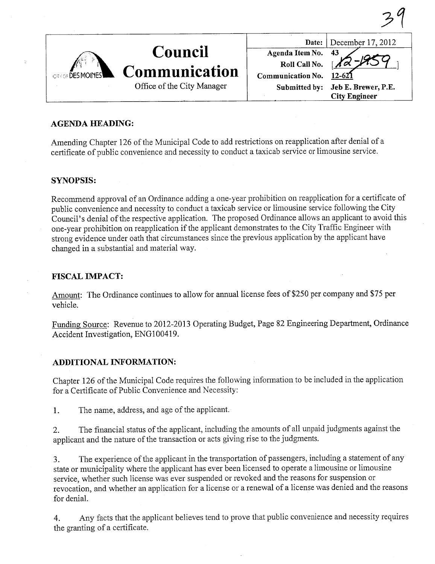| <b>CENOR DES MOINES</b> | Council<br><b>Communication</b> |                                          | Date: December 17, 2012 |
|-------------------------|---------------------------------|------------------------------------------|-------------------------|
|                         |                                 |                                          | 43                      |
|                         |                                 | <b>Agenda Item No.<br/>Roll Call No.</b> |                         |
|                         |                                 | Communication No.                        | $12 - 627$              |
|                         | Office of the City Manager      | Submitted by:                            | Jeb E. Brewer, P.E.     |
|                         |                                 |                                          | <b>City Engineer</b>    |

## AGENDA HEADING:

Amending Chapter 126 of the Municipal Code to add restrictions on reapplication after denial of a certificate of public convenience and necessity to conduct a taxicab service or limousine service.

#### SYNOPSIS:

Recommend approval of an Ordinance adding a one-year prohibition on reapplication for a certificate of public convenience and necessity to conduct a taxicab service or limousine service following the City Council's denial of the respective application. The proposed Ordinance allows an applicant to avoid this one-year prohibition on reapplication if the applicant demonstrates to the City Traffc Engineer with strong evidence under oath that circumstances since the previous application by the applicant have changed in a substantial and material way.

#### FISCAL IMPACT:

Amount: The Ordinance continues to allow for annual license fees of \$250 per company and \$75 per vehicle.

Funding Source: Revenue to 2012-2013 Operating Budget, Page 82 Engineering Deparment, Ordinance Accident Investigation, ENG100419.

## ADDITIONAL INFORMATION:

Chapter 126 of the Municipal Code requires the following infonnation to be included in the application for a Certificate of Public Convenience and Necessity:

1. The name, address, and age of the applicant.

2. The financial status of the applicant, including the amounts of all unpaid judgments against the applicant and the nature of the transaction or acts giving rise to the judgments.

3. The experience of the applicant in the transportation of passengers, including a statement of any state or municipality where the applicant has ever been licensed to operate a limousine or limousine service, whether such license was ever suspended or revoked and the reasons for suspension or revocation, and whether an application for a license or a renewal of a license was denied and the reasons for deniaL.

4. Any facts that the applicant believes tend to prove that public convenience and necessity requires the granting of a certificate.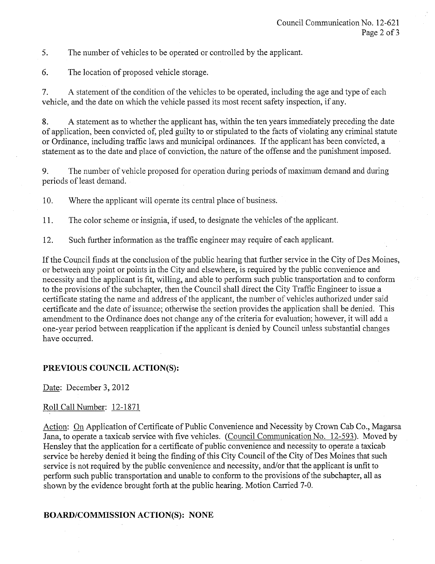5. The number of vehicles to be operated or controlled by the applicant.

6. The location of proposed vehicle storage.

7. A statement of the condition of the vehicles to be operated, including the age and type of each vehicle, and the date on which the vehicle passed its most recent safety inspection, if any.

8. A statement as to whether the applicant has, within the ten years immediately preceding the date of application, been convicted of, pled guilty to or stipulated to the facts of violating any criminal statute or Ordinance, including traffic laws and municipal ordinances. If the applicant has been convicted, a statement as to the date and place of conviction, the nature of the offense and the punishment imposed.

9. The number of vehicle proposed for operation during periods of maximum demand and during periods of least demand.

10. Where the applicant will operate its central place of business.

11. The color scheme or insignia, if used, to designate the vehicles of the applicant.

12. Such further information as the traffic engineer may require of each applicant.

If the Council finds at the conclusion of the public hearing that further service in the City of Des Moines, or between any point or points in the City and elsewhere, is required by the public convenience and necessity and the applicant is fit, willing, and able to perform such public transportation and to conform to the provisions of the subchapter, then the Council shall direct the City Traffic Engineer to issue a certificate stating the name and address of the applicant, the number of vehicles authorized under said certificate and the date of issuance; otherwise the section provides the application shall be denied. This amendment to the Ordinance does not change any of the criteria for evaluation; however, it will add a one-year period between reapplication if the applicant is denied by Council unless substantial changes have occurred.

## PREVIOUS COUNCIL ACTION(S):

Date: December 3, 2012

## Roll Call Number: 12-1871

Action: On Application of Certificate of Public Convenience and Necessity by Crown Cab Co., Magarsa Jana, to operate a taxicab service with five vehicles. (Council Communication No. 12-593). Moved by Hensley that the application for a certificate of public convenience and necessity to operate a taxicab service be hereby denied it being the finding of this City Council of the City of Des Moines that such service is not required by the public convenience and necessity, and/or that the applicant is unfit to perform such public transportation and unable to conform to the provisions of the subchapter, all as shown by the evidence brought forth at the public hearing. Motion Caried 7-0.

#### BOARD/COMMISSION ACTION(S): NONE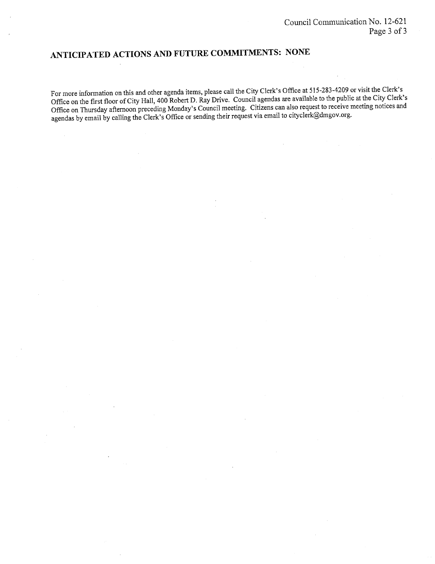# ANTICIPATED ACTIONS AND FUTURE COMMITMENTS: NONE

For more information on this and other agenda items, please call the City Clerk's Office at 515-283-4209 or visit the Clerk's Offce on the first floor of City Hall, 400 Robert D. Ray Drive. Council agendas are available to the public at the City Clerk's Office on Thursday afternoon preceding Monday's Council meeting. Citizens can also request to receive meeting notices and agendas by email by calling the Clerk's Office or sending their request via email to cityclerk@dmgov.org.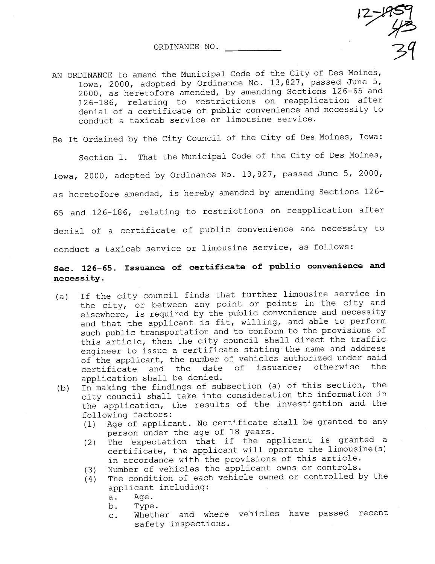ORDINANCE NO.

 $12 - 459$ <br> $72$ 31

AN ORDINANCE to amend the Municipal Code of the City of Des Moines, Iowa, 2000, adopted by Ordinance No. 13,827, passed June 5, 2000, as heretofore amended, by amending Sections 126-65 and 126-186, relating to restrictions on reapplication after denial of a certificate of public convenience and necessity to conduct a taxicab service or limousine service.

Be It Ordained by the City Council of the City of Des Moines, Iowa:

Section 1. That the Municipal Code of the City of Des Moines, Iowa, 2000, adopted by Ordinance No. 13,827, passed June 5, 2000, as heretofore amended, is hereby amended by amending Sections 126- 65 and 126-186, relating to restrictions on reapplication after denial of a certificate of public convenience and necessity to conduct a taxicab service or limousine service, as follows:

# Sec. 126-65. Issuance of certificate of public convenience and necessi ty .

- (a) If the city council finds that further limousine service in the city, or between any point or points in the city and elsewhere, is required by the public convenience and necessity and that the applicant is fit, willing, and able to perform such public transportation and to conform to the provisions of this article, then the city council shall direct the traffic engineer to issue a certificate stating. the name and address of the applicant, the number of vehicles authorized under said<br>certificate and the date of issuance; otherwise the issuance; otherwise
- application shall be denied.<br>In making the findings of subsection (a) of this section, the (b) In making the findings of subsection (a) of this section, the city council shall take into consideration the information in the application, the results of the investigation and the
	- following factors:<br>(1) Age of applica Age of applicant. No certificate shall be granted to any person under the age of 18 years.
	- (2) The expectation that if the applicant is granted a certificate, the applicant will operate the limousine (s) in accordance with the provisions of this article.
	-
	- (3) Number of vehicles the applicant owns or controls.<br>(4) The condition of each vehicle owned or controlled b The condition of each vehicle owned or controlled by the applicant including:
		- a. Age.
		- b. Type.
		- c. Whether and where vehicles have passed recent safety inspections.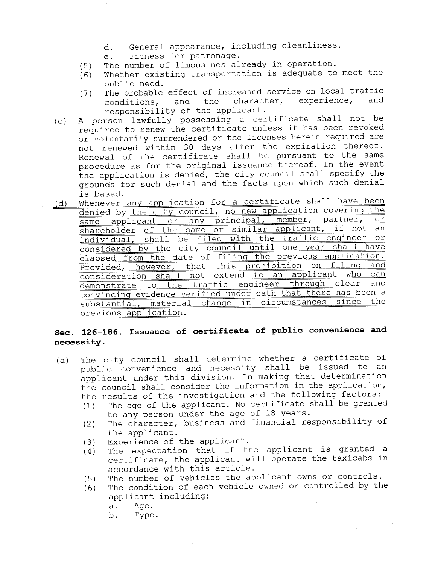- d. General appearance, including cleanliness.
- e. Fitness for patronage.
- 
- (5) The number of limousines already in operation.<br>(6) Whether existing transportation is adequate to Whether existing transportation is adequate to meet the public need.
- (7) The probable effect of increased service on local traffic<br>conditions. and the character, experience, and conditions, responsibility of the applicant.
- (c) A person lawfully possessing a certificate shall not be required to renew the certificate unless it has been revoked or voluntarily surrendered or the licenses herein required are not renewed within 30 days after the expiration thereof. Renewal of the certificate shall be pursuant to the same procedure as for the original issuance thereof. In the event the application is denied, the city council shall specify the grounds for such denial and the facts upon which such denial is based.
- (d) Whenever any application for a certificate shall have been denied by the city council, no new application covering the same applicant or any principal, member, partner, or shareholder of the same or similar applicant, if not an individual, shall be filed with the traffic engineer considered by the city council until one year shall have elapsed from the date of filing the previous application. Provided, however, that this prohibition on filinq and consideration shall not extend to an applicant who can demonstrate to the traffic enqineer throuqh clear and convincing evidence verified under oath that there has been a substantial, material change in circumstances since previous application.

# Sec. l26~l86. Issuance of certificate of public convenience and necessity.

- (a) The city council shall determine whether a certificate of public convenience and necessity shall be issued to an applicant under this division. In making that determination the council shall consider the information in the application, the results of the investigation and the following factors:
	- (1) The age of the applicant. No certificate shall be granted to any person under the age of 18 years.
	- (2) The character, business and financial responsibility of the applicant.
	-
	- (3) Experience of the applicant.<br>(4) The expectation that if the The expectation that if the applicant is granted a certificate, the applicant will operate the taxicabs in accordance with this article.
	-
	- (5) The number of vehicles the applicant owns or controls.<br>(6) The condition of each vehicle owned or controlled by th The condition of each vehicle owned or controlled by the applicant including:
		-
		- a. Age.<br>b. Type Type.